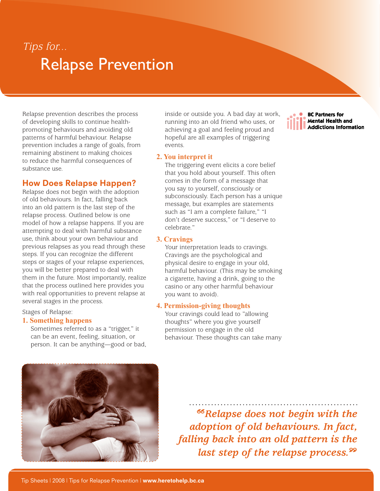## Relapse Prevention Tips for...

Relapse prevention describes the process of developing skills to continue healthpromoting behaviours and avoiding old patterns of harmful behaviour. Relapse prevention includes a range of goals, from remaining abstinent to making choices to reduce the harmful consequences of substance use.

## How Does Relapse Happen?

Relapse does not begin with the adoption of old behaviours. In fact, falling back into an old pattern is the last step of the relapse process. Outlined below is one model of how a relapse happens. If you are attempting to deal with harmful substance use, think about your own behaviour and previous relapses as you read through these steps. If you can recognize the different steps or stages of your relapse experiences, you will be better prepared to deal with them in the future. Most importantly, realize that the process outlined here provides you with real opportunities to prevent relapse at several stages in the process.

Stages of Relapse:

#### **1. Something happens**

Sometimes referred to as a "trigger," it can be an event, feeling, situation, or person. It can be anything—good or bad,



inside or outside you. A bad day at work, running into an old friend who uses, or achieving a goal and feeling proud and hopeful are all examples of triggering events.

#### **2. You interpret it**

The triggering event elicits a core belief that you hold about yourself. This often comes in the form of a message that you say to yourself, consciously or subconsciously. Each person has a unique message, but examples are statements such as "I am a complete failure," "I don't deserve success," or "I deserve to celebrate."

#### **3. Cravings**

Your interpretation leads to cravings. Cravings are the psychological and physical desire to engage in your old, harmful behaviour. (This may be smoking a cigarette, having a drink, going to the casino or any other harmful behaviour you want to avoid).

#### **4. Permission-giving thoughts**

Your cravings could lead to "allowing thoughts" where you give yourself permission to engage in the old behaviour. These thoughts can take many

*Relapse does not begin with the adoption of old behaviours. In fact, falling back into an old pattern is the last step of the relapse process.*

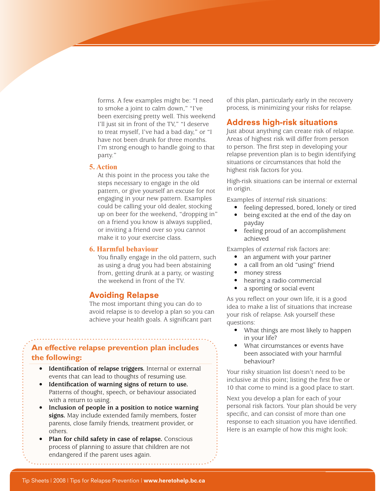forms. A few examples might be: "I need to smoke a joint to calm down," "I've been exercising pretty well. This weekend I'll just sit in front of the TV," "I deserve to treat myself, I've had a bad day," or "I have not been drunk for three months. I'm strong enough to handle going to that party."

#### **5. Action**

At this point in the process you take the steps necessary to engage in the old pattern, or give yourself an excuse for not engaging in your new pattern. Examples could be calling your old dealer, stocking up on beer for the weekend, "dropping in" on a friend you know is always supplied, or inviting a friend over so you cannot make it to your exercise class.

#### **6. Harmful behaviour**

You finally engage in the old pattern, such as using a drug you had been abstaining from, getting drunk at a party, or wasting the weekend in front of the TV.

#### Avoiding Relapse

The most important thing you can do to avoid relapse is to develop a plan so you can achieve your health goals. A significant part

### **An effective relapse prevention plan includes the following:**

- **• Identification of relapse triggers.** Internal or external events that can lead to thoughts of resuming use.
- **• Identification of warning signs of return to use.** Patterns of thought, speech, or behaviour associated with a return to using.
- **• Inclusion of people in a position to notice warning signs.** May include extended family members, foster parents, close family friends, treatment provider, or others.
- **• Plan for child safety in case of relapse.** Conscious process of planning to assure that children are not endangered if the parent uses again.

of this plan, particularly early in the recovery process, is minimizing your risks for relapse.

#### Address high-risk situations

Just about anything can create risk of relapse. Areas of highest risk will differ from person to person. The first step in developing your relapse prevention plan is to begin identifying situations or circumstances that hold the highest risk factors for you.

High-risk situations can be internal or external in origin.

Examples of *internal* risk situations:

- feeling depressed, bored, lonely or tired
- being excited at the end of the day on payday
- feeling proud of an accomplishment achieved

Examples of *external* risk factors are:

- an argument with your partner
- a call from an old "using" friend
- money stress
- hearing a radio commercial
- a sporting or social event

As you reflect on your own life, it is a good idea to make a list of situations that increase your risk of relapse. Ask yourself these questions:

- What things are most likely to happen in your life?
- What circumstances or events have been associated with your harmful behaviour?

Your risky situation list doesn't need to be inclusive at this point; listing the first five or 10 that come to mind is a good place to start.

Next you develop a plan for each of your personal risk factors. Your plan should be very specific, and can consist of more than one response to each situation you have identified. Here is an example of how this might look: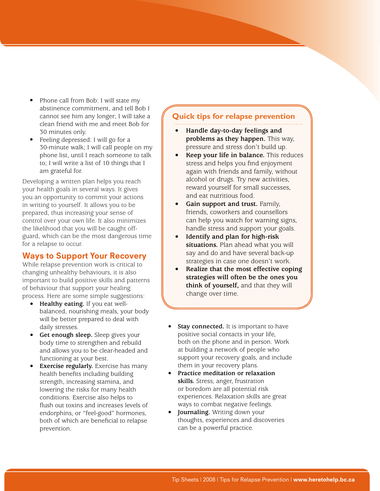- Phone call from Bob: I will state my abstinence commitment, and tell Bob I cannot see him any longer; I will take a clean friend with me and meet Bob for 30 minutes only.
- Feeling depressed: I will go for a 30-minute walk; I will call people on my phone list, until I reach someone to talk to; I will write a list of 10 things that I am grateful for.

Developing a written plan helps you reach your health goals in several ways. It gives you an opportunity to commit your actions in writing to yourself. It allows you to be prepared, thus increasing your sense of control over your own life. It also minimizes the likelihood that you will be caught offguard, which can be the most dangerous time for a relapse to occur.

## Ways to Support Your Recovery

While relapse prevention work is critical to changing unhealthy behaviours, it is also important to build positive skills and patterns of behaviour that support your healing process. Here are some simple suggestions:

- **• Healthy eating.** If you eat wellbalanced, nourishing meals, your body will be better prepared to deal with daily stresses.
- **• Get enough sleep.** Sleep gives your body time to strengthen and rebuild and allows you to be clear-headed and functioning at your best.
- **Exercise regularly.** Exercise has many health benefits including building strength, increasing stamina, and lowering the risks for many health conditions. Exercise also helps to flush out toxins and increases levels of endorphins, or "feel-good" hormones, both of which are beneficial to relapse prevention.

### **Quick tips for relapse prevention**

- **• Handle day-to-day feelings and problems as they happen.** This way, pressure and stress don't build up.
- **Keep** your life in balance. This reduces stress and helps you find enjoyment again with friends and family, without alcohol or drugs. Try new activities, reward yourself for small successes, and eat nutritious food.
- **• Gain support and trust.** Family, friends, coworkers and counsellors can help you watch for warning signs, handle stress and support your goals.
- **• Identify and plan for high-risk situations.** Plan ahead what you will say and do and have several back-up strategies in case one doesn't work.
- **• Realize that the most effective coping strategies will often be the ones you think of yourself,** and that they will change over time.
- **Stay connected.** It is important to have positive social contacts in your life, both on the phone and in person. Work at building a network of people who support your recovery goals, and include them in your recovery plans.
- **• Practice meditation or relaxation skills.** Stress, anger, frustration or boredom are all potential risk experiences. Relaxation skills are great ways to combat negative feelings.
- **Journaling.** Writing down your thoughts, experiences and discoveries can be a powerful practice.